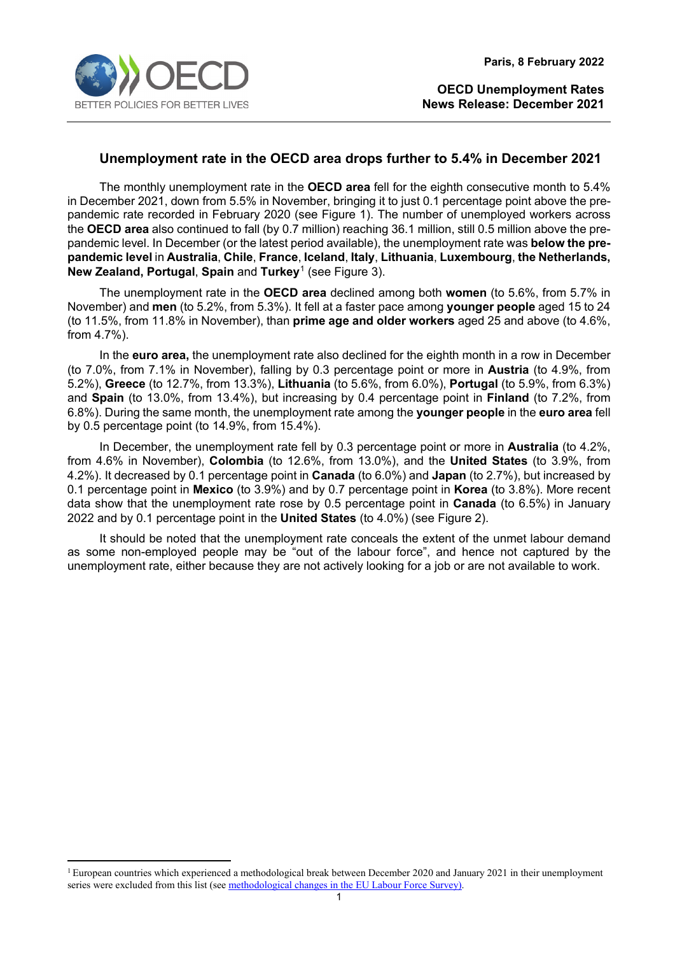

## **Unemployment rate in the OECD area drops further to 5.4% in December 2021**

The monthly unemployment rate in the **OECD area** fell for the eighth consecutive month to 5.4% in December 2021, down from 5.5% in November, bringing it to just 0.1 percentage point above the prepandemic rate recorded in February 2020 (see Figure 1). The number of unemployed workers across the **OECD area** also continued to fall (by 0.7 million) reaching 36.1 million, still 0.5 million above the prepandemic level. In December (or the latest period available), the unemployment rate was **below the prepandemic level** in **Australia**, **Chile**, **France**, **Iceland**, **Italy**, **Lithuania**, **Luxembourg**, **the Netherlands, New Zealand, Portugal**, **Spain** and **Turkey**[1](#page-0-0) (see Figure 3).

The unemployment rate in the **OECD area** declined among both **women** (to 5.6%, from 5.7% in November) and **men** (to 5.2%, from 5.3%). It fell at a faster pace among **younger people** aged 15 to 24 (to 11.5%, from 11.8% in November), than **prime age and older workers** aged 25 and above (to 4.6%, from 4.7%).

In the **euro area,** the unemployment rate also declined for the eighth month in a row in December (to 7.0%, from 7.1% in November), falling by 0.3 percentage point or more in **Austria** (to 4.9%, from 5.2%), **Greece** (to 12.7%, from 13.3%), **Lithuania** (to 5.6%, from 6.0%), **Portugal** (to 5.9%, from 6.3%) and **Spain** (to 13.0%, from 13.4%), but increasing by 0.4 percentage point in **Finland** (to 7.2%, from 6.8%). During the same month, the unemployment rate among the **younger people** in the **euro area** fell by 0.5 percentage point (to 14.9%, from 15.4%).

In December, the unemployment rate fell by 0.3 percentage point or more in **Australia** (to 4.2%, from 4.6% in November), **Colombia** (to 12.6%, from 13.0%), and the **United States** (to 3.9%, from 4.2%). It decreased by 0.1 percentage point in **Canada** (to 6.0%) and **Japan** (to 2.7%), but increased by 0.1 percentage point in **Mexico** (to 3.9%) and by 0.7 percentage point in **Korea** (to 3.8%). More recent data show that the unemployment rate rose by 0.5 percentage point in **Canada** (to 6.5%) in January 2022 and by 0.1 percentage point in the **United States** (to 4.0%) (see Figure 2).

It should be noted that the unemployment rate conceals the extent of the unmet labour demand as some non-employed people may be "out of the labour force", and hence not captured by the unemployment rate, either because they are not actively looking for a job or are not available to work.

<span id="page-0-0"></span><sup>&</sup>lt;sup>1</sup> European countries which experienced a methodological break between December 2020 and January 2021 in their unemployment series were excluded from this list (see [methodological changes in the EU Labour Force Survey\)](https://ec.europa.eu/eurostat/statistics-explained/index.php?title=EU_Labour_Force_Survey_-_new_methodology_from_2021_onwards).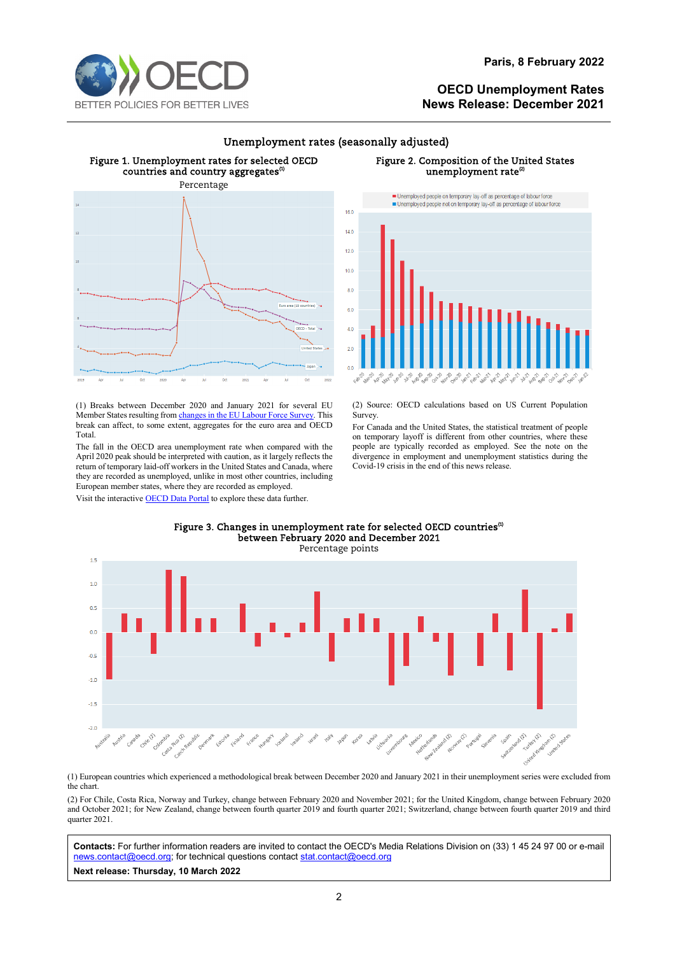



## Unemployment rates (seasonally adjusted)

#### Figure 1. Unemployment rates for selected OECD countries and country aggregates<sup>(1)</sup> Percentage

Figure 2. Composition of the United States unemployment rate<sup>(2)</sup>



(1) Breaks between December 2020 and January 2021 for several EU Member States resulting fro[m changes in the EU Labour Force Survey.](https://ec.europa.eu/eurostat/statistics-explained/index.php?title=EU_Labour_Force_Survey_-_new_methodology_from_2021_onwards) This break can affect, to some extent, aggregates for the euro area and OECD Total.

The fall in the OECD area unemployment rate when compared with the April 2020 peak should be interpreted with caution, as it largely reflects the return of temporary laid-off workers in the United States and Canada, where they are recorded as unemployed, unlike in most other countries, including European member states, where they are recorded as employed.

Visit the interactive **OECD Data Portal** to explore these data further.



(2) Source: OECD calculations based on US Current Population Survey.

For Canada and the United States, the statistical treatment of people on temporary layoff is different from other countries, where these people are typically recorded as employed. See the note on the divergence in employment and unemployment statistics during the Covid-19 crisis in the end of this news release.



#### Figure 3. Changes in unemployment rate for selected OECD countries<sup>(1)</sup> between February 2020 and December 2021

(1) European countries which experienced a methodological break between December 2020 and January 2021 in their unemployment series were excluded from the chart.

(2) For Chile, Costa Rica, Norway and Turkey, change between February 2020 and November 2021; for the United Kingdom, change between February 2020 and October 2021; for New Zealand, change between fourth quarter 2019 and fourth quarter 2021; Switzerland, change between fourth quarter 2019 and third quarter 2021.

**Contacts:** For further information readers are invited to contact the OECD's Media Relations Division on (33) 1 45 24 97 00 or e-mail [news.contact@oecd.org;](mailto:news.contact@oecd.org) for technical questions contact stat.contact@oecd.org

**Next release: Thursday, 10 March 2022**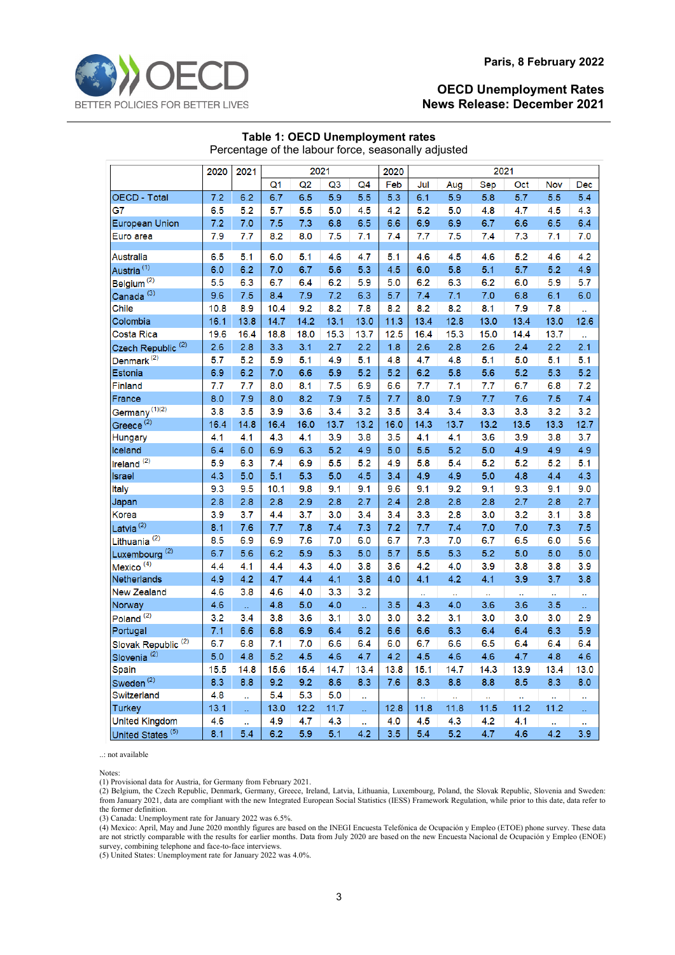

| Percentage of the labour force, seasonally adjusted |      |      |                |      |              |                |      |                |      |              |      |              |      |
|-----------------------------------------------------|------|------|----------------|------|--------------|----------------|------|----------------|------|--------------|------|--------------|------|
|                                                     | 2020 | 2021 |                |      | 2021<br>2020 |                |      | 2021           |      |              |      |              |      |
|                                                     |      |      | Q <sub>1</sub> | Q2   | Q3           | Q <sub>4</sub> | Feb  | Jul            | Aug  | Sep          | Oct  | Nov          | Dec  |
| OECD - Total                                        | 7.2  | 6.2  | 6.7            | 6.5  | 5.9          | 5.5            | 5.3  | 6.1            | 5.9  | 5.8          | 5.7  | 5.5          | 5.4  |
| G7                                                  | 6.5  | 5.2  | 5.7            | 5.5  | 5.0          | 4.5            | 4.2  | 5.2            | 5.0  | 4.8          | 4.7  | 4.5          | 4.3  |
| <b>European Union</b>                               | 7.2  | 7.0  | 7.5            | 7.3  | 6.8          | 6.5            | 6.6  | 6.9            | 6.9  | 6.7          | 6.6  | 6.5          | 6.4  |
| Euro area                                           | 7.9  | 7.7  | 8.2            | 8.0  | 7.5          | 7.1            | 7.4  | 7.7            | 7.5  | 7.4          | 7.3  | 7.1          | 7.0  |
| Australia                                           | 6.5  | 5.1  | 6.0            | 5.1  | 4.6          | 4.7            | 5.1  | 4.6            | 4.5  | 4.6          | 5.2  | 4.6          | 4.2  |
| Austria <sup>(1)</sup>                              | 6.0  | 6.2  | 7.0            | 6.7  | 5.6          | 5.3            | 4.5  | 6.0            | 5.8  | 5.1          | 5.7  | 5.2          | 4.9  |
| Belgium <sup>(2)</sup>                              | 5.5  | 6.3  | 6.7            | 6.4  | 6.2          | 5.9            | 5.0  | 6.2            | 6.3  | 6.2          | 6.0  | 5.9          | 5.7  |
| Canada <sup>(3)</sup>                               | 9.6  | 7.5  | 8.4            | 7.9  | 7.2          | 6.3            | 5.7  | 7.4            | 7.1  | 7.0          | 6.8  | 6.1          | 6.0  |
| Chile                                               | 10.8 | 8.9  | 10.4           | 9.2  | 8.2          | 7.8            | 8.2  | 8.2            | 8.2  | 8.1          | 7.9  | 7.8          | ä.   |
| Colombia                                            | 16.1 | 13.8 | 14.7           | 14.2 | 13.1         | 13.0           | 11.3 | 13.4           | 12.8 | 13.0         | 13.4 | 13.0         | 12.6 |
| Costa Rica                                          | 19.6 | 16.4 | 18.8           | 18.0 | 15.3         | 13.7           | 12.5 | 16.4           | 15.3 | 15.0         | 14.4 | 13.7         | Ω,   |
| Czech Republic <sup>(2)</sup>                       | 2.6  | 2.8  | 3.3            | 3.1  | 2.7          | 2.2            | 1.8  | 2.6            | 2.8  | 2.6          | 2.4  | 2.2          | 2.1  |
| Denmark <sup>(2)</sup>                              | 5.7  | 5.2  | 5.9            | 5.1  | 4.9          | 5.1            | 4.8  | 4.7            | 4.8  | 5.1          | 5.0  | 5.1          | 5.1  |
| Estonia                                             | 6.9  | 6.2  | 7.0            | 6.6  | 5.9          | 5.2            | 5.2  | 6.2            | 5.8  | 5.6          | 5.2  | 5.3          | 5.2  |
| Finland                                             | 7.7  | 7.7  | 8.0            | 8.1  | 7.5          | 6.9            | 6.6  | 7.7            | 7.1  | 7.7          | 6.7  | 6.8          | 7.2  |
| France                                              | 8.0  | 7.9  | 8.0            | 8.2  | 7.9          | 7.5            | 7.7  | 8.0            | 7.9  | 7.7          | 7.6  | 7.5          | 7.4  |
| Germany <sup>(1)(2)</sup>                           | 3.8  | 3.5  | 3.9            | 3.6  | 3.4          | 3.2            | 3.5  | 3.4            | 3.4  | 3.3          | 3.3  | 3.2          | 3.2  |
| Greece <sup>(2)</sup>                               | 16.4 | 14.8 | 16.4           | 16.0 | 13.7         | 13.2           | 16.0 | 14.3           | 13.7 | 13.2         | 13.5 | 13.3         | 12.7 |
| <b>Hungary</b>                                      | 4.1  | 4.1  | 4.3            | 4.1  | 3.9          | 3.8            | 3.5  | 4.1            | 4.1  | 3.6          | 3.9  | 3.8          | 3.7  |
| Iceland                                             | 6.4  | 6.0  | 6.9            | 6.3  | 5.2          | 4.9            | 5.0  | 5.5            | 5.2  | 5.0          | 4.9  | 4.9          | 4.9  |
| Ireland $\overline{^{(2)}}$                         | 5.9  | 6.3  | 7.4            | 6.9  | 5.5          | 5.2            | 4.9  | 5.8            | 5.4  | 5.2          | 5.2  | 5.2          | 5.1  |
| <b>Israel</b>                                       | 4.3  | 5.0  | 5.1            | 5.3  | 5.0          | 4.5            | 3.4  | 4.9            | 4.9  | 5.0          | 4.8  | 4.4          | 4.3  |
| Italy                                               | 9.3  | 9.5  | 10.1           | 9.8  | 9.1          | 9.1            | 9.6  | 9.1            | 9.2  | 9.1          | 9.3  | 9.1          | 9.0  |
| Japan                                               | 2.8  | 2.8  | 2.8            | 2.9  | 2.8          | 2.7            | 2.4  | 2.8            | 2.8  | 2.8          | 2.7  | 2.8          | 2.7  |
| Korea                                               | 3.9  | 3.7  | 4.4            | 3.7  | 3.0          | 3.4            | 3.4  | 3.3            | 2.8  | 3.0          | 3.2  | 3.1          | 3.8  |
| Latvia <sup>(2)</sup>                               | 8.1  | 7.6  | 7.7            | 7.8  | 7.4          | 7.3            | 7.2  | 7.7            | 7.4  | 7.0          | 7.0  | 7.3          | 7.5  |
| Lithuania <sup>(2)</sup>                            | 8.5  | 6.9  | 6.9            | 7.6  | 7.0          | 6.0            | 6.7  | 7.3            | 7.0  | 6.7          | 6.5  | 6.0          | 5.6  |
| Luxembourg <sup>(2)</sup>                           | 6.7  | 5.6  | 6.2            | 5.9  | 5.3          | 5.0            | 5.7  | 5.5            | 5.3  | 5.2          | 5.0  | 5.0          | 5.0  |
| Mexico <sup>(4)</sup>                               | 4.4  | 4.1  | 4.4            | 4.3  | 4.0          | 3.8            | 3.6  | 4.2            | 4.0  | 3.9          | 3.8  | 3.8          | 3.9  |
| Netherlands                                         | 4.9  | 4.2  | 4.7            | 4.4  | 4.1          | 3.8            | 4.0  | 4.1            | 4.2  | 4.1          | 3.9  | 3.7          | 3.8  |
| <b>New Zealand</b>                                  | 4.6  | 3.8  | 4.6            | 4.0  | 3.3          | 3.2            |      | à,             | ä.   | а            | ä,   | ä.           | ä,   |
| Norway                                              | 4.6  | u.   | 4.8            | 5.0  | 4.0          | u.             | 3.5  | 4.3            | 4.0  | 3.6          | 3.6  | 3.5          | ä,   |
| Poland <sup>(2)</sup>                               | 3.2  | 3.4  | 3.8            | 3.6  | 3.1          | 3.0            | 3.0  | 3.2            | 3.1  | 3.0          | 3.0  | 3.0          | 2.9  |
| Portugal                                            | 7.1  | 6.6  | 6.8            | 6.9  | 6.4          | 6.2            | 6.6  | 6.6            | 6.3  | 6.4          | 6.4  | 6.3          | 5.9  |
| Slovak Republic <sup>(2)</sup>                      | 6.7  | 6.8  | 7.1            | 7.0  | 6.6          | 6.4            | 6.0  | 6.7            | 6.6  | 6.5          | 6.4  | 6.4          | 6.4  |
| Slovenia <sup>(2)</sup>                             | 5.0  | 4.8  | 5.2            | 4.5  | 4.6          | 4.7            | 4.2  | 4.5            | 4.6  | 4.6          | 4.7  | 4.8          | 4.6  |
| Spain                                               | 15.5 | 14.8 | 15.6           | 15.4 | 14.7         | 13.4           | 13.8 | 15.1           | 14.7 | 14.3         | 13.9 | 13.4         | 13.0 |
| Sweden <sup>(2)</sup>                               | 8.3  | 8.8  | 9.2            | 9.2  | 8.6          | 8.3            | 7.6  | 8.3            | 8.8  | 8.8          | 8.5  | 8.3          | 8.0  |
| Switzerland                                         | 4.8  | а.   | 5.4            | 5.3  | 5.0          | а.             |      | $\mathbf{r}$ . | аń.  | $\mathbf{r}$ | u,   | $\mathbf{r}$ | 4    |
| Turkey                                              | 13.1 | u,   | 13.0           | 12.2 | 11.7         | ia.            | 12.8 | 11.8           | 11.8 | 11.5         | 11.2 | 11.2         | д    |
| <b>United Kingdom</b>                               | 4.6  | ů,   | 4.9            | 4.7  | 4.3          | ü.             | 4.0  | 4.5            | 4.3  | 4.2          | 4.1  | ä.           | ä,   |
| United States <sup>(5)</sup>                        | 8.1  | 5.4  | 6.2            | 5.9  | 5.1          | 4.2            | 3.5  | 5.4            | 5.2  | 4.7          | 4.6  | 4.2          | 3.9  |
|                                                     |      |      |                |      |              |                |      |                |      |              |      |              |      |

# **Table 1: OECD Unemployment rates**

..: not available

Notes:

(1) Provisional data for Austria, for Germany from February 2021.

(2) Belgium, the Czech Republic, Denmark, Germany, Greece, Ireland, Latvia, Lithuania, Luxembourg, Poland, the Slovak Republic, Slovenia and Sweden: from January 2021, data are compliant with the new Integrated European Social Statistics (IESS) Framework Regulation, while prior to this date, data refer to the former definition.

(3) Canada: Unemployment rate for January 2022 was 6.5%.

(4) Mexico: April, May and June 2020 monthly figures are based on the INEGI Encuesta Telefónica de Ocupación y Empleo (ETOE) phone survey. These data are not strictly comparable with the results for earlier months. Data from July 2020 are based on the new Encuesta Nacional de Ocupación y Empleo (ENOE) survey, combining telephone and face-to-face interviews.

(5) United States: Unemployment rate for January 2022 was 4.0%.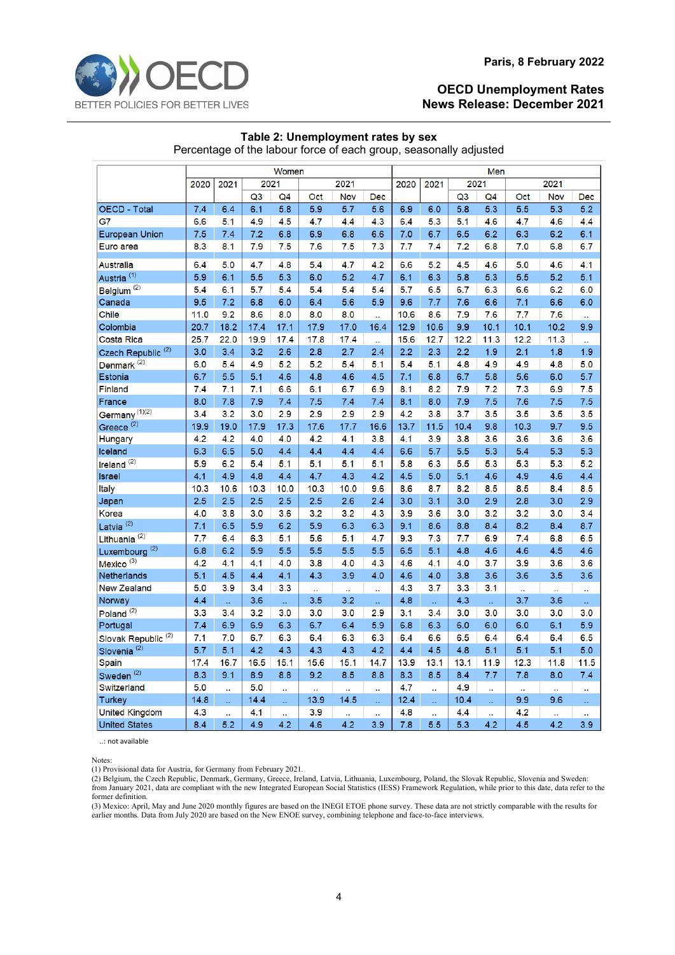

|                                                                   | Table 2: Unemployment rates by sex |  |  |
|-------------------------------------------------------------------|------------------------------------|--|--|
| Percentage of the labour force of each group, seasonally adjusted |                                    |  |  |

|                                | Women        |      |                |                |      |           |                      | Men          |      |                |      |      |                  |                      |
|--------------------------------|--------------|------|----------------|----------------|------|-----------|----------------------|--------------|------|----------------|------|------|------------------|----------------------|
|                                | 2021<br>2020 |      | 2021           |                |      | 2021      |                      | 2021<br>2020 |      | 2021           |      | 2021 |                  |                      |
|                                |              |      | Q <sub>3</sub> | Q <sub>4</sub> | Oct  | Nov       | <b>Dec</b>           |              |      | Q <sub>3</sub> | Q4   | Oct  | <b>Nov</b>       | <b>Dec</b>           |
| <b>OECD - Total</b>            | 7.4          | 6.4  | 6.1            | 5.8            | 5.9  | 5.7       | 5.6                  | 6.9          | 6.0  | 5.8            | 5.3  | 5.5  | $\overline{5.3}$ | 5.2                  |
| G7                             | 6.6          | 5.1  | 4.9            | 4.5            | 4.7  | 4.4       | 4.3                  | 6.4          | 5.3  | 5.1            | 4.6  | 4.7  | 4.6              | 4.4                  |
| <b>European Union</b>          | 7.5          | 7.4  | 7.2            | 6.8            | 6.9  | 6.8       | 6.6                  | 7.0          | 6.7  | 6.5            | 6.2  | 6.3  | 6.2              | 6.1                  |
| Euro area                      | 8.3          | 8.1  | 7.9            | 7.5            | 7.6  | 7.5       | 7.3                  | 7.7          | 7.4  | 7.2            | 6.8  | 7.0  | 6.8              | 6.7                  |
|                                |              |      |                |                |      |           |                      |              |      |                |      |      |                  |                      |
| Australia                      | 6.4          | 5.0  | 4.7            | 4.8            | 5.4  | 4.7       | 4.2                  | 6.6          | 5.2  | 4.5            | 4.6  | 5.0  | 4.6              | 4.1                  |
| Austria <sup>(1)</sup>         | 5.9          | 6.1  | 5.5            | 5.3            | 6.0  | 5.2       | 4.7                  | 6.1          | 6.3  | 5.8            | 5.3  | 5.5  | 5.2              | 5.1                  |
| Belgium <sup>(2)</sup>         | 5.4          | 6.1  | 5.7            | 5.4            | 5.4  | 5.4       | 5.4                  | 5.7          | 6.5  | 6.7            | 6.3  | 6.6  | 6.2              | 6.0                  |
| Canada                         | 9.5          | 7.2  | 6.8            | 6.0            | 6.4  | 5.6       | 5.9                  | 9.6          | 7.7  | 7.6            | 6.6  | 7.1  | 6.6              | 6.0                  |
| Chile                          | 11.0         | 9.2  | 8.6            | 8.0            | 8.0  | 8.0       | $\ddot{\phantom{a}}$ | 10.6         | 8.6  | 7.9            | 7.6  | 7.7  | 7.6              | $\ddot{\phantom{a}}$ |
| Colombia                       | 20.7         | 18.2 | 17.4           | 17.1           | 17.9 | 17.0      | 16.4                 | 12.9         | 10.6 | 9.9            | 10.1 | 10.1 | 10.2             | 9.9                  |
| Costa Rica                     | 25.7         | 22.0 | 19.9           | 17.4           | 17.8 | 17.4      | ù.                   | 15.6         | 12.7 | 12.2           | 11.3 | 12.2 | 11.3             | $\ddot{\phantom{a}}$ |
| Czech Republic <sup>(2)</sup>  | 3.0          | 3.4  | 3.2            | 2.6            | 2.8  | 2.7       | 2.4                  | 2.2          | 2.3  | 2.2            | 1.9  | 2.1  | 1.8              | 1.9                  |
| Denmark <sup>(2)</sup>         | 6.0          | 5.4  | 4.9            | 5.2            | 5.2  | 5.4       | 5.1                  | 5.4          | 5.1  | 4.8            | 4.9  | 4.9  | 4.8              | 5.0                  |
| Estonia                        | 6.7          | 5.5  | 5.1            | 4.6            | 4.8  | 4.6       | 4.5                  | 7.1          | 6.8  | 6.7            | 5.8  | 5.6  | 6.0              | 5.7                  |
| <b>Finland</b>                 | 7.4          | 7.1  | 7.1            | 6.6            | 6.1  | 6.7       | 6.9                  | 8.1          | 8.2  | 7.9            | 7.2  | 7.3  | 6.9              | 7.5                  |
| France                         | 8.0          | 7.8  | 7.9            | 7.4            | 7.5  | 7.4       | 7.4                  | 8.1          | 8.0  | 7.9            | 7.5  | 7.6  | 7.5              | 7.5                  |
| Germany <sup>(1)(2)</sup>      | 3.4          | 3.2  | 3.0            | 2.9            | 2.9  | 2.9       | 2.9                  | 4.2          | 3.8  | 3.7            | 3.5  | 3.5  | 3.5              | 3.5                  |
| Greece <sup>(2)</sup>          | 19.9         | 19.0 | 17.9           | 17.3           | 17.6 | 17.7      | 16.6                 | 13.7         | 11.5 | 10.4           | 9.8  | 10.3 | 9.7              | 9.5                  |
| Hungary                        | 4.2          | 4.2  | 4.0            | 4.0            | 4.2  | 4.1       | 3.8                  | 4.1          | 3.9  | 3.8            | 3.6  | 3.6  | 3.6              | 3.6                  |
| Iceland                        | 6.3          | 6.5  | 5.0            | 4.4            | 4.4  | 4.4       | 4.4                  | 6.6          | 5.7  | 5.5            | 5.3  | 5.4  | 5.3              | 5.3                  |
| Ireland <sup>(2)</sup>         | 5.9          | 6.2  | 5.4            | 5.1            | 5.1  | 5.1       | 5.1                  | 5.8          | 6.3  | 5.5            | 5.3  | 5.3  | 5.3              | 5.2                  |
| <b>Israel</b>                  | 4.1          | 4.9  | 4.8            | 4.4            | 4.7  | 4.3       | 4.2                  | 4.5          | 5.0  | 5.1            | 4.6  | 4.9  | 4.6              | 4.4                  |
| Italy                          | 10.3         | 10.6 | 10.3           | 10.0           | 10.3 | 10.0      | 9.6                  | 8.6          | 8.7  | 8.2            | 8.5  | 8.5  | 8.4              | 8.5                  |
| Japan                          | 2.5          | 2.5  | 2.5            | 2.5            | 2.5  | 2.6       | 2.4                  | 3.0          | 3.1  | 3.0            | 2.9  | 2.8  | 3.0              | 2.9                  |
| Korea                          | 4.0          | 3.8  | 3.0            | 3.6            | 3.2  | 3.2       | 4.3                  | 3.9          | 3.6  | 3.0            | 3.2  | 3.2  | 3.0              | 3.4                  |
| Latvia <sup>(2)</sup>          | 7.1          | 6.5  | 5.9            | 6.2            | 5.9  | 6.3       | 6.3                  | 9.1          | 8.6  | 8.8            | 8.4  | 8.2  | 8.4              | 8.7                  |
| Lithuania <sup>(2)</sup>       | 7.7          | 6.4  | 6.3            | 5.1            | 5.6  | 5.1       | 4.7                  | 9.3          | 7.3  | 7.7            | 6.9  | 7.4  | 6.8              | 6.5                  |
| Luxembourg <sup>(2)</sup>      | 6.8          | 6.2  | 5.9            | 5.5            | 5.5  | 5.5       | 5.5                  | 6.5          | 5.1  | 4.8            | 4.6  | 4.6  | 4.5              | 4.6                  |
| Mexico <sup>(3)</sup>          | 4.2          | 4.1  | 4.1            | 4.0            | 3.8  | 4.0       | 4.3                  | 4.6          | 4.1  | 4.0            | 3.7  | 3.9  | 3.6              | 3.6                  |
| Netherlands                    | 5.1          | 4.5  | 4.4            | 4.1            | 4.3  | 3.9       | 4.0                  | 4.6          | 4.0  | 3.8            | 3.6  | 3.6  | 3.5              | 3.6                  |
| <b>New Zealand</b>             | 5.0          | 3.9  | 3.4            | 3.3            | ú,   | ä.        | ü.                   | 4.3          | 3.7  | 3.3            | 3.1  | ü.   | ů,               | ä,                   |
| Norway                         | 4.4          | ú.   | 3.6            | u.             | 3.5  | 3.2       | ä,                   | 4.8          | W.   | 4.3            | ä,   | 3.7  | 3.6              | x.                   |
| Poland <sup>(2)</sup>          | 3.3          | 3.4  | 3.2            | 3.0            | 3.0  | 3.0       | 2.9                  | 3.1          | 3.4  | 3.0            | 3.0  | 3.0  | 3.0              | 3.0                  |
| Portugal                       | 7.4          | 6.9  | 6.9            | 6.3            | 6.7  | 6.4       | 5.9                  | 6.8          | 6.3  | 6.0            | 6.0  | 6.0  | 6.1              | 5.9                  |
| Slovak Republic <sup>(2)</sup> | 7.1          | 7.0  | 6.7            | 6.3            | 6.4  | 6.3       | 6.3                  | 6.4          | 6.6  | 6.5            | 6.4  | 6.4  | 6.4              | 6.5                  |
| Slovenia <sup>(2)</sup>        | 5.7          | 5.1  | 4.2            | 4.3            | 4.3  | 4.3       | 4.2                  | 4.4          | 4.5  | 4.8            | 5.1  | 5.1  | 5.1              | 5.0                  |
| Spain                          | 17.4         | 16.7 | 16.5           | 15.1           | 15.6 | 15.1      | 14.7                 | 13.9         | 13.1 | 13.1           | 11.9 | 12.3 | 11.8             | 11.5                 |
| Sweden <sup>(2)</sup>          | 8.3          | 9.1  | 8.9            | 8.8            | 9.2  | 8.5       | 8.8                  | 8.3          | 8.5  | 8.4            | 7.7  | 7.8  | 8.0              | 7.4                  |
| Switzerland                    | 5.0          | ä.   | 5.0            | а.             | ä,   | $\ddotsc$ | ă,                   | 4.7          | ä.   | 4.9            | ä,   | ü,   | а                | $\ddot{\phantom{1}}$ |
| <b>Turkey</b>                  | 14.8         | ä.   | 14.4           | ä,             | 13.9 | 14.5      | ä.                   | 12.4         | ů,   | 10.4           | ü.   | 9.9  | 9.6              | ä,                   |
| <b>United Kingdom</b>          | 4.3          | ä.   | 4.1            | ä,             | 3.9  | ä.        | ä.                   | 4.8          | ů,   | 4.4            | ä,   | 4.2  |                  | ä                    |
| <b>United States</b>           | 8.4          | 5.2  | 4.9            | 4.2            | 4.6  | 4.2       | 3.9                  | 7.8          | 5.5  | 5.3            | 4.2  | 4.5  | 4.2              | 3.9                  |

..: not available

Notes:

(1) Provisional data for Austria, for Germany from February 2021.

(2) Belgium, the Czech Republic, Denmark, Germany, Greece, Ireland, Latvia, Lithuania, Luxembourg, Poland, the Slovak Republic, Slovenia and Sweden: from January 2021, data are compliant with the new Integrated European Social Statistics (IESS) Framework Regulation, while prior to this date, data refer to the former definition.

(3) Mexico: April, May and June 2020 monthly figures are based on the INEGI ETOE phone survey. These data are not strictly comparable with the results for earlier months. Data from July 2020 are based on the New ENOE survey, combining telephone and face-to-face interviews.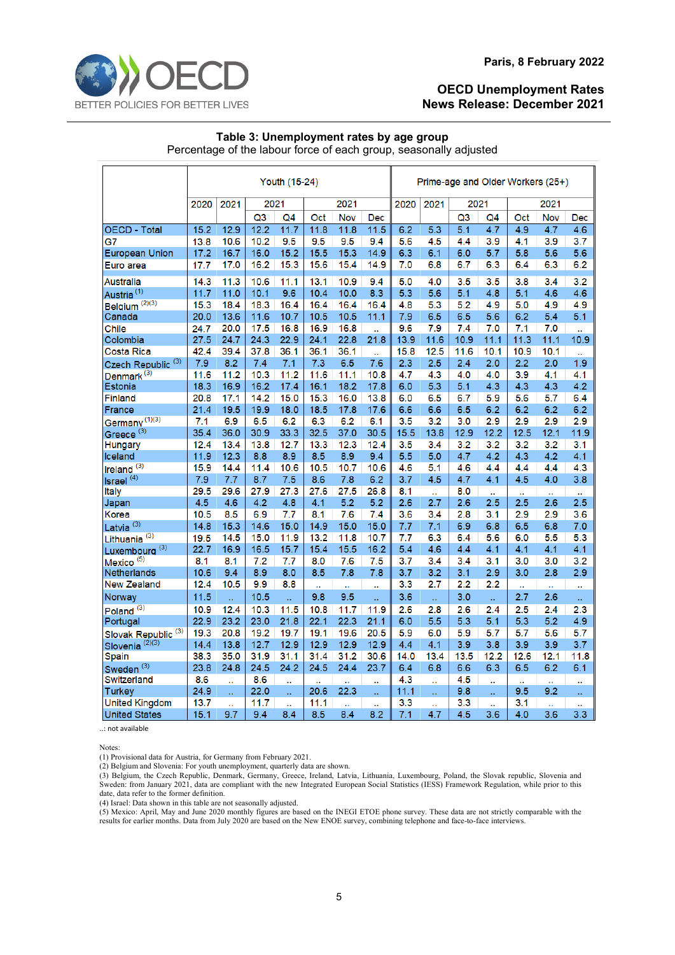

#### **Paris, 8 February 2022**

## **OECD Unemployment Rates News Release: December 2021**

#### **Table 3: Unemployment rates by age group** Percentage of the labour force of each group, seasonally adjusted

|                                | Youth (15-24) |             |             |             |             |                      |                      | Prime-age and Older Workers (25+) |           |                  |                  |                      |                      |                      |
|--------------------------------|---------------|-------------|-------------|-------------|-------------|----------------------|----------------------|-----------------------------------|-----------|------------------|------------------|----------------------|----------------------|----------------------|
|                                | 2020          | 2021        | 2021        |             |             | 2021                 |                      | 2020                              | 2021      | 2021             |                  |                      | 2021                 |                      |
|                                |               |             | Q3          | Q4          | Oct         | Nov                  | Dec                  |                                   |           | Q <sub>3</sub>   | Q4               | Oct                  | Nov                  | Dec                  |
| <b>OECD - Total</b>            | 15.2          | 12.9        | 12.2        | 11.7        | 11.8        | 11.8                 | 11.5                 | 6.2                               | 5.3       | $\overline{5.1}$ | 4.7              | 4.9                  | 4.7                  | 4.6                  |
| G7                             | 13.8          | 10.6        | 10.2        | 9.5         | 9.5         | 9.5                  | 9.4                  | 5.6                               | 4.5       | 4.4              | 3.9              | 4.1                  | 3.9                  | 3.7                  |
| <b>European Union</b>          | 17.2          | 16.7        | 16.0        | 15.2        | 15.5        | 15.3                 | 14.9                 | 6.3                               | 6.1       | 6.0              | 5.7              | 5.8                  | 5.6                  | 5.6                  |
| Euro area                      | 17.7          | 17.0        | 16.2        | 15.3        | 15.6        | 15.4                 | 14.9                 | 7.0                               | 6.8       | 6.7              | 6.3              | 6.4                  | 6.3                  | 6.2                  |
| <b>Australia</b>               | 14.3          | 11.3        | 10.6        | 11.1        | 13.1        | 10.9                 | 9.4                  | 5.0                               | 4.0       | 3.5              | 3.5              | 3.8                  | 3.4                  | 3.2                  |
| Austria <sup>(1)</sup>         | 11.7          | 11.0        | 10.1        | 9.6         | 10.4        | 10.0                 | 8.3                  | 5.3                               | 5.6       | 5.1              | 4.8              | 5.1                  | 4.6                  | 4.6                  |
| (2)(3)<br><b>Belgium</b>       | 15.3          | 18.4        | 18.3        | 16.4        | 16.4        | 16.4                 | 16.4                 | 4.8                               | 5.3       | 5.2              | 4.9              | 5.0                  | 4.9                  | 4.9                  |
| Canada                         | 20.0          | 13.6        | 11.6        | 10.7        | 10.5        | 10.5                 | 11.1                 | 7.9                               | 6.5       | 6.5              | 5.6              | 6.2                  | 5.4                  | 5.1                  |
| Chile                          | 24.7          | 20.0        | 17.5        | 16.8        | 16.9        | 16.8                 | ů,                   | 9.6                               | 7.9       | 7.4              | 7.0              | 7.1                  | 7.0                  | ä.                   |
| Colombia                       | 27.5          | 24.7        | 24.3        | 22.9        | 24.1        | 22.8                 | 21.8                 | 13.9                              | 11.6      | 10.9             | 11.1             | 11.3                 | 11.1                 | 10.9                 |
| Costa Rica                     | 42.4          | 39.4        | 37.8        | 36.1        | 36.1        | 36.1                 | ü.                   | 15.8                              | 12.5      | 11.6             | 10.1             | 10.9                 | 10.1                 | Ω,                   |
| Czech Republic <sup>(3)</sup>  | 7.9           | 8.2         | 7.4         | 7.1         | 7.3         | 6.5                  | 7.6                  | 2.3                               | 2.5       | 2.4              | 2.0              | 2.2                  | 2.0                  | 1.9                  |
| Denmark <sup>(3)</sup>         | 11.6          | 11.2        | 10.3        | 11.2        | 11.6        | 11.1                 | 10.8                 | 4.7                               | 4.3       | 4.0              | 4.0              | 3.9                  | 4.1                  | 4.1                  |
| Estonia                        | 18.3          | 16.9        | 16.2        | 17.4        | 16.1        | 18.2                 | 17.8                 | 6.0                               | 5.3       | 5.1              | 4.3              | 4.3                  | 4.3                  | 4.2                  |
| Finland                        | 20.8          | 17.1        | 14.2        | 15.0        | 15.3        | 16.0                 | 13.8                 | 6.0                               | 6.5       | 6.7              | 5.9              | 5.6                  | 5.7                  | 6.4                  |
| France                         | 21.4          | 19.5        | 19.9        | 18.0        | 18.5        | 17.8                 | 17.6                 | 6.6                               | 6.6       | 6.5              | 6.2              | 6.2                  | 6.2                  | 6.2                  |
| Germany <sup>(1)(3)</sup>      | 7.1           | 6.9         | 6.5         | 6.2         | 6.3         | 6.2                  | 6.1                  | 3.5                               | 3.2       | 3.0              | 2.9              | 2.9                  | 2.9                  | 2.9                  |
| Greece <sup>(3)</sup>          | 35.4          | 36.0        | 30.9        | 33.3        | 32.5        | 37.0                 | 30.5                 | 15.5                              | 13.8      | 12.9             | 12.2             | 12.5                 | 12.1                 | 11.9                 |
| Hungary                        | 12.4          | 13.4        | 13.8        | 12.7        | 13.3        | 12.3                 | 12.4                 | 3.5                               | 3.4       | 3.2              | 3.2              | 3.2                  | 3.2                  | 3.1                  |
| lceland                        | 11.9          | 12.3        | 8.8         | 8.9         | 8.5         | 8.9                  | 9.4                  | 5.5                               | 5.0       | 4.7              | 4.2              | 4.3                  | 4.2                  | 4.1                  |
| Ireland <sup>(3)</sup>         | 15.9          | 14.4        | 11.4        | 10.6        | 10.5        | 10.7                 | 10.6<br>6.2          | 4.6                               | 5.1       | 4.6              | 4.4              | 4.4                  | 4.4                  | 4.3                  |
| Israel <sup>(4)</sup>          | 7.9<br>29.5   | 7.7<br>29.6 | 8.7<br>27.9 | 7.5<br>27.3 | 8.6<br>27.6 | 7.8<br>27.5          | 26.8                 | 3.7<br>8.1                        | 4.5       | 4.7<br>8.0       | 4.1              | 4.5                  | 4.0                  | 3.8                  |
| Italy                          | 4.5           | 4.6         | 4.2         | 4.8         | 4.1         | 5.2                  | 5.2                  | 2.6                               | ü.<br>2.7 | 2.6              | $\ddotsc$<br>2.5 | $\ddotsc$<br>2.5     | ä.<br>2.6            | ä,<br>2.5            |
| Japan<br>Korea                 | 10.5          | 8.5         | 6.9         | 7.7         | 8.1         | 7.6                  | 7.4                  | 3.6                               | 3.4       | 2.8              | 3.1              | 2.9                  | 2.9                  | 3.6                  |
| Latvia <sup>(3)</sup>          | 14.8          | 15.3        | 14.6        | 15.0        | 14.9        | 15.0                 | 15.0                 | 7.7                               | 7.1       | 6.9              | 6.8              | 6.5                  | 6.8                  | 7.0                  |
| Lithuania <sup>(3)</sup>       | 19.5          | 14.5        | 15.0        | 11.9        | 13.2        | 11.8                 | 10.7                 | 7.7                               | 6.3       | 6.4              | 5.6              | 6.0                  | 5.5                  | 5.3                  |
| Luxembourg <sup>(3)</sup>      | 22.7          | 16.9        | 16.5        | 15.7        | 15.4        | 15.5                 | 16.2                 | 5.4                               | 4.6       | 4.4              | 4.1              | 4.1                  | 4.1                  | 4.1                  |
| Mexico <sup>(5)</sup>          | 8.1           | 8.1         | 7.2         | 7.7         | 8.0         | 7.6                  | 7.5                  | 3.7                               | 3.4       | 3.4              | 3.1              | 3.0                  | 3.0                  | 3.2                  |
| Netherlands                    | 10.6          | 9.4         | 8.9         | 8.0         | 8.5         | 7.8                  | 7.8                  | 3.7                               | 3.2       | 3.1              | 2.9              | 3.0                  | 2.8                  | 2.9                  |
| <b>New Zealand</b>             | 12.4          | 10.5        | 9.9         | 8.8         | ä.          | $\ddotsc$            | $\ddot{\phantom{a}}$ | 3.3                               | 2.7       | 2.2              | 2.2              | $\ddot{\phantom{a}}$ | ä.                   | $\ddot{\phantom{a}}$ |
| Norway                         | 11.5          | ä.          | 10.5        | ä,          | 9.8         | 9.5                  | ü,                   | 3.6                               | ä,        | 3.0              | ä,               | 2.7                  | 2.6                  | x.                   |
| Poland <sup>(3)</sup>          | 10.9          | 12.4        | 10.3        | 11.5        | 10.8        | 11.7                 | 11.9                 | 2.6                               | 2.8       | 2.6              | 2.4              | 2.5                  | 2.4                  | 2.3                  |
| Portugal                       | 22.9          | 23.2        | 23.0        | 21.8        | 22.1        | 22.3                 | 21.1                 | 6.0                               | 5.5       | 5.3              | 5.1              | 5.3                  | 5.2                  | 4.9                  |
| Slovak Republic <sup>(3)</sup> | 19.3          | 20.8        | 19.2        | 19.7        | 19.1        | 19.6                 | 20.5                 | 5.9                               | 6.0       | 5.9              | 5.7              | 5.7                  | 5.6                  | 5.7                  |
| Slovenia <sup>(2)(3)</sup>     | 14.4          | 13.8        | 12.7        | 12.9        | 12.9        | 12.9                 | 12.9                 | 4.4                               | 4.1       | 3.9              | 3.8              | 3.9                  | 3.9                  | 3.7                  |
| Spain                          | 38.3          | 35.0        | 31.9        | 31.1        | 31.4        | 31.2                 | 30.6                 | 14.0                              | 13.4      | 13.5             | 12.2             | 12.6                 | 12.1                 | 11.8                 |
| Sweden <sup>(3)</sup>          | 23.8          | 24.8        | 24.5        | 24.2        | 24.5        | 24.4                 | 23.7                 | 6.4                               | 6.8       | 6.6              | 6.3              | 6.5                  | 6.2                  | 6.1                  |
| Switzerland                    | 8.6           | ä,          | 8.6         | а           | ä.          | $\ddot{\phantom{a}}$ | .,                   | 4.3                               | ä,        | 4.5              | и,               | ä,                   |                      | ä,                   |
| <b>Turkey</b>                  | 24.9          | ü.          | 22.0        | ü,          | 20.6        | 22.3                 | ü.                   | 11.1                              | u.        | 9.8              | ü.               | 9.5                  | 9.2                  | ä,                   |
| <b>United Kingdom</b>          | 13.7          | ä.          | 11.7        | ä.          | 11.1        | ä,                   | $\ddot{\phantom{a}}$ | 3.3                               | ä.        | 3.3              | ä.               | 3.1                  | $\ddot{\phantom{a}}$ | à.                   |
| <b>United States</b>           | 15.1          | 9.7         | 9.4         | 8.4         | 8.5         | 8.4                  | 8.2                  | 7.1                               | 4.7       | 4.5              | 3.6              | 4.0                  | 3.6                  | 3.3                  |

..: not available

Notes:

(1) Provisional data for Austria, for Germany from February 2021.

(2) Belgium and Slovenia: For youth unemployment, quarterly data are shown.

(3) Belgium, the Czech Republic, Denmark, Germany, Greece, Ireland, Latvia, Lithuania, Luxembourg, Poland, the Slovak republic, Slovenia and Sweden: from January 2021, data are compliant with the new Integrated European Social Statistics (IESS) Framework Regulation, while prior to this date, data refer to the former definition.

(4) Israel: Data shown in this table are not seasonally adjusted.

(5) Mexico: April, May and June 2020 monthly figures are based on the INEGI ETOE phone survey. These data are not strictly comparable with the results for earlier months. Data from July 2020 are based on the New ENOE survey, combining telephone and face-to-face interviews.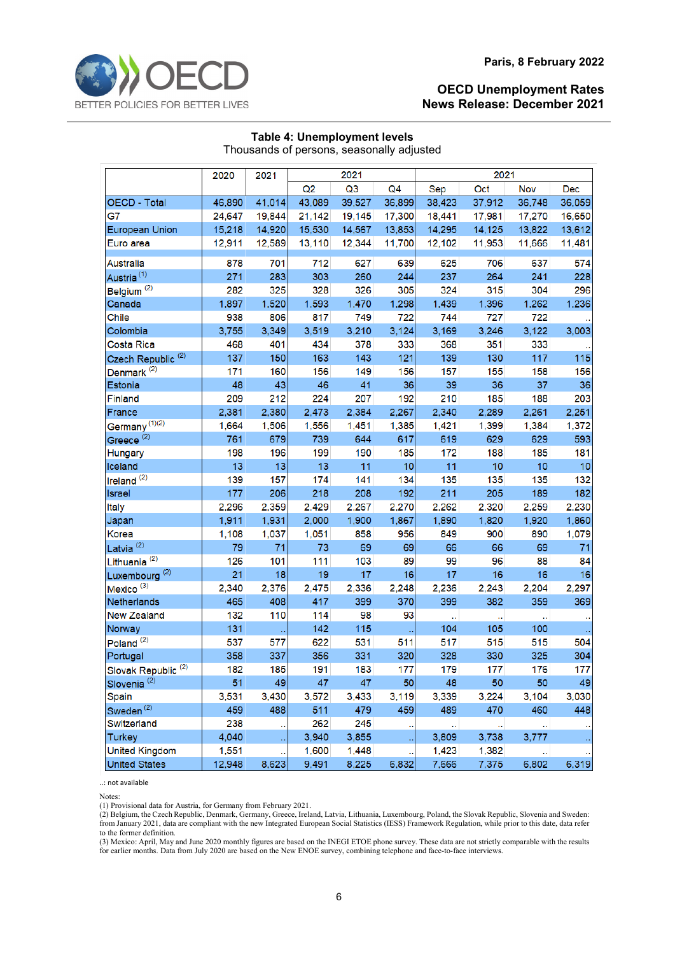| Thousands of persons, seasonally adjusted |        |        |        |        |                |        |        |        |            |  |  |
|-------------------------------------------|--------|--------|--------|--------|----------------|--------|--------|--------|------------|--|--|
|                                           | 2020   | 2021   |        | 2021   |                | 2021   |        |        |            |  |  |
|                                           |        |        | Q2     | Q3     | Q <sub>4</sub> | Sep    | Oct    | Nov    | <b>Dec</b> |  |  |
| <b>OECD - Total</b>                       | 46,890 | 41,014 | 43,089 | 39,527 | 36,899         | 38,423 | 37,912 | 36,748 | 36,059     |  |  |
| G7                                        | 24,647 | 19,844 | 21,142 | 19,145 | 17,300         | 18,441 | 17,981 | 17,270 | 16,650     |  |  |
| <b>European Union</b>                     | 15,218 | 14,920 | 15,530 | 14,567 | 13,853         | 14,295 | 14,125 | 13,822 | 13,612     |  |  |
| Euro area                                 | 12,911 | 12,589 | 13,110 | 12,344 | 11,700         | 12,102 | 11,953 | 11,666 | 11,481     |  |  |
| Australia                                 | 878    | 701    | 712    | 627    | 639            | 625    | 706    | 637    | 574        |  |  |
| Austria <sup>(1)</sup>                    | 271    | 283    | 303    | 260    | 244            | 237    | 264    | 241    | 228        |  |  |
| Belgium <sup>(2)</sup>                    | 282    | 325    | 328    | 326    | 305            | 324    | 315    | 304    | 296        |  |  |
| Canada                                    | 1,897  | 1,520  | 1,593  | 1,470  | 1,298          | 1,439  | 1,396  | 1,262  | 1,236      |  |  |
| Chile                                     | 938    | 806    | 817    | 749    | 722            | 744    | 727    | 722    |            |  |  |
| Colombia                                  | 3,755  | 3,349  | 3,519  | 3,210  | 3,124          | 3,169  | 3,246  | 3,122  | 3,003      |  |  |
| Costa Rica                                | 468    | 401    | 434    | 378    | 333            | 368    | 351    | 333    |            |  |  |
| Czech Republic <sup>(2)</sup>             | 137    | 150    | 163    | 143    | 121            | 139    | 130    | 117    | 115        |  |  |
| Denmark <sup>(2)</sup>                    | 171    | 160    | 156    | 149    | 156            | 157    | 155    | 158    | 156        |  |  |
| Estonia                                   | 48     | 43     | 46     | 41     | 36             | 39     | 36     | 37     | 36         |  |  |
| <b>Finland</b>                            | 209    | 212    | 224    | 207    | 192            | 210    | 185    | 188    | 203        |  |  |
| France                                    | 2,381  | 2,380  | 2,473  | 2,384  | 2,267          | 2,340  | 2,289  | 2,261  | 2,251      |  |  |
| Germany <sup>(1)(2)</sup>                 | 1,664  | 1,506  | 1,556  | 1,451  | 1,385          | 1,421  | 1,399  | 1,384  | 1,372      |  |  |
| Greece <sup>(2)</sup>                     | 761    | 679    | 739    | 644    | 617            | 619    | 629    | 629    | 593        |  |  |
| <b>Hungary</b>                            | 198    | 196    | 199    | 190    | 185            | 172    | 188    | 185    | 181        |  |  |
| Iceland                                   | 13     | 13     | 13     | 11     | 10             | 11     | 10     | 10     | 10         |  |  |
| Ireland <sup>(2)</sup>                    | 139    | 157    | 174    | 141    | 134            | 135    | 135    | 135    | 132        |  |  |
| Israel                                    | 177    | 206    | 218    | 208    | 192            | 211    | 205    | 189    | 182        |  |  |
| Italy                                     | 2,296  | 2,359  | 2,429  | 2,267  | 2,270          | 2,262  | 2,320  | 2,259  | 2,230      |  |  |
| Japan                                     | 1,911  | 1,931  | 2,000  | 1,900  | 1,867          | 1,890  | 1,820  | 1,920  | 1,860      |  |  |
| Korea                                     | 1,108  | 1,037  | 1,051  | 858    | 956            | 849    | 900    | 890    | 1,079      |  |  |
| Latvia <sup>(2)</sup>                     | 79     | 71     | 73     | 69     | 69             | 66     | 66     | 69     | 71         |  |  |
| Lithuania <sup>(2)</sup>                  | 126    | 101    | 111    | 103    | 89             | 99     | 96     | 88     | 84         |  |  |
| Luxembourg <sup>(2)</sup>                 | 21     | 18     | 19     | 17     | 16             | 17     | 16     | 16     | 16         |  |  |
| Mexico <sup>(3)</sup>                     | 2,340  | 2,376  | 2,475  | 2,336  | 2,248          | 2,236  | 2,243  | 2,204  | 2,297      |  |  |
| Netherlands                               | 465    | 408    | 417    | 399    | 370            | 399    | 382    | 359    | 369        |  |  |
| <b>New Zealand</b>                        | 132    | 110    | 114    | 98     | 93             | L,     | ı.     |        |            |  |  |
| Norway                                    | 131    |        | 142    | 115    |                | 104    | 105    | 100    |            |  |  |
| Poland <sup>(2)</sup>                     | 537    | 577    | 622    | 531    | 511            | 517    | 515    | 515    | 504        |  |  |
| Portugal                                  | 358    | 337    | 356    | 331    | 320            | 328    | 330    | 325    | 304        |  |  |
| Slovak Republic <sup>(2)</sup>            | 182    | 185    | 191    | 183    | 177            | 179    | 177    | 176    | 177        |  |  |
| Slovenia <sup>(2)</sup>                   | 51     | 49     | 47     | 47     | 50             | 48     | 50     | 50     | 49         |  |  |
| Spain                                     | 3,531  | 3,430  | 3,572  | 3,433  | 3,119          | 3,339  | 3,224  | 3,104  | 3,030      |  |  |
| Sweden <sup>(2)</sup>                     | 459    | 488    | 511    | 479    | 459            | 489    | 470    | 460    | 448        |  |  |
| Switzerland                               | 238    |        | 262    | 245    |                |        |        |        |            |  |  |
| <b>Turkey</b>                             | 4,040  |        | 3,940  | 3,855  |                | 3,809  | 3,738  | 3,777  |            |  |  |
| <b>United Kingdom</b>                     | 1,551  |        | 1,600  | 1,448  |                | 1,423  | 1,382  |        |            |  |  |
| <b>United States</b>                      | 12,948 | 8,623  | 9,491  | 8,225  | 6,832          | 7,666  | 7,375  | 6,802  | 6,319      |  |  |

#### **Table 4: Unemployment levels** Thousands of persons, seasonally adjusted

..: not available

Notes:

(1) Provisional data for Austria, for Germany from February 2021.

(2) Belgium, the Czech Republic, Denmark, Germany, Greece, Ireland, Latvia, Lithuania, Luxembourg, Poland, the Slovak Republic, Slovenia and Sweden: from January 2021, data are compliant with the new Integrated European Social Statistics (IESS) Framework Regulation, while prior to this date, data refer to the former definition.

(3) Mexico: April, May and June 2020 monthly figures are based on the INEGI ETOE phone survey. These data are not strictly comparable with the results for earlier months. Data from July 2020 are based on the New ENOE survey, combining telephone and face-to-face interviews.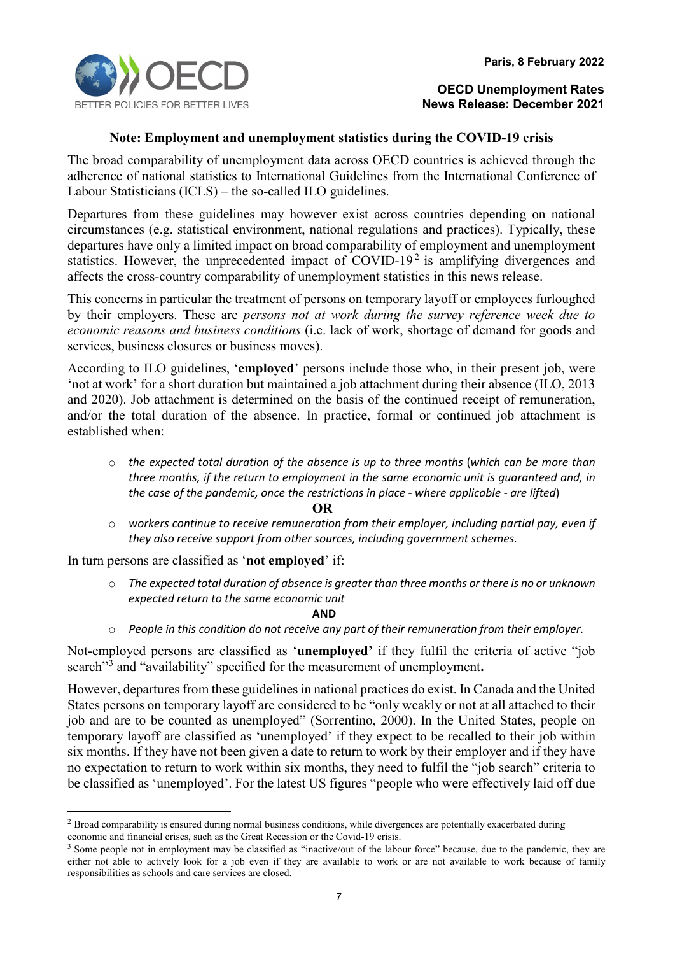

## **Note: Employment and unemployment statistics during the COVID-19 crisis**

The broad comparability of unemployment data across OECD countries is achieved through the adherence of national statistics to International Guidelines from the International Conference of Labour Statisticians (ICLS) – the so-called ILO guidelines.

Departures from these guidelines may however exist across countries depending on national circumstances (e.g. statistical environment, national regulations and practices). Typically, these departures have only a limited impact on broad comparability of employment and unemployment statistics. However, the unprecedented impact of COVID-19<sup>[2](#page-6-0)</sup> is amplifying divergences and affects the cross-country comparability of unemployment statistics in this news release.

This concerns in particular the treatment of persons on temporary layoff or employees furloughed by their employers. These are *persons not at work during the survey reference week due to economic reasons and business conditions* (i.e. lack of work, shortage of demand for goods and services, business closures or business moves).

According to ILO guidelines, '**employed**' persons include those who, in their present job, were 'not at work' for a short duration but maintained a job attachment during their absence (ILO, 2013 and 2020). Job attachment is determined on the basis of the continued receipt of remuneration, and/or the total duration of the absence. In practice, formal or continued job attachment is established when:

o *the expected total duration of the absence is up to three months* (*which can be more than three months, if the return to employment in the same economic unit is guaranteed and, in the case of the pandemic, once the restrictions in place - where applicable - are lifted*)

#### **OR**

o *workers continue to receive remuneration from their employer, including partial pay, even if they also receive support from other sources, including government schemes.*

In turn persons are classified as '**not employed**' if:

o *The expected total duration of absence is greater than three months or there is no or unknown expected return to the same economic unit* 

**AND** 

o *People in this condition do not receive any part of their remuneration from their employer.*

Not-employed persons are classified as '**unemployed'** if they fulfil the criteria of active "job search"[3](#page-6-1) and "availability" specified for the measurement of unemployment**.**

However, departures from these guidelines in national practices do exist. In Canada and the United States persons on temporary layoff are considered to be "only weakly or not at all attached to their job and are to be counted as unemployed" (Sorrentino, 2000). In the United States, people on temporary layoff are classified as 'unemployed' if they expect to be recalled to their job within six months. If they have not been given a date to return to work by their employer and if they have no expectation to return to work within six months, they need to fulfil the "job search" criteria to be classified as 'unemployed'. For the latest US figures "people who were effectively laid off due

<span id="page-6-0"></span><sup>&</sup>lt;sup>2</sup> Broad comparability is ensured during normal business conditions, while divergences are potentially exacerbated during economic and financial crises, such as the Great Recession or the Covid-19 crisis.

<span id="page-6-1"></span><sup>&</sup>lt;sup>3</sup> Some people not in employment may be classified as "inactive/out of the labour force" because, due to the pandemic, they are either not able to actively look for a job even if they are available to work or are not available to work because of family responsibilities as schools and care services are closed.